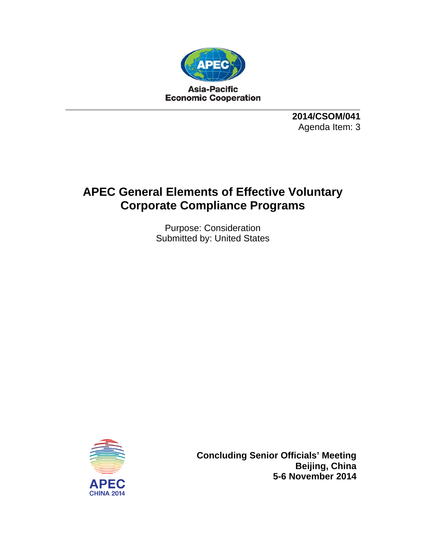

**2014/CSOM/041**  Agenda Item: 3

## **APEC General Elements of Effective Voluntary Corporate Compliance Programs**

Purpose: Consideration Submitted by: United States



**Concluding Senior Officials' Meeting Beijing, China 5-6 November 2014**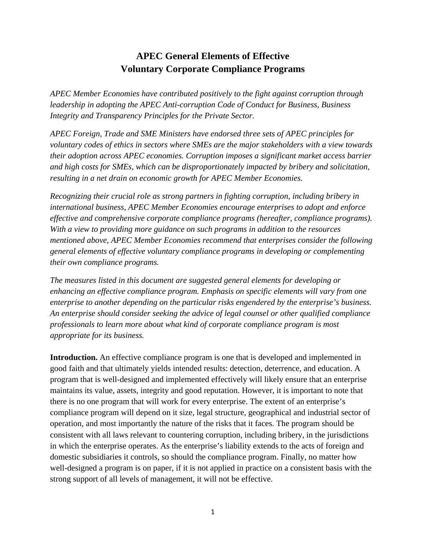## **APEC General Elements of Effective Voluntary Corporate Compliance Programs**

*APEC Member Economies have contributed positively to the fight against corruption through leadership in adopting the APEC Anti-corruption Code of Conduct for Business, Business Integrity and Transparency Principles for the Private Sector.* 

*APEC Foreign, Trade and SME Ministers have endorsed three sets of APEC principles for voluntary codes of ethics in sectors where SMEs are the major stakeholders with a view towards their adoption across APEC economies. Corruption imposes a significant market access barrier and high costs for SMEs, which can be disproportionately impacted by bribery and solicitation, resulting in a net drain on economic growth for APEC Member Economies.* 

*Recognizing their crucial role as strong partners in fighting corruption, including bribery in international business, APEC Member Economies encourage enterprises to adopt and enforce effective and comprehensive corporate compliance programs (hereafter, compliance programs). With a view to providing more guidance on such programs in addition to the resources mentioned above, APEC Member Economies recommend that enterprises consider the following general elements of effective voluntary compliance programs in developing or complementing their own compliance programs.* 

*The measures listed in this document are suggested general elements for developing or enhancing an effective compliance program. Emphasis on specific elements will vary from one enterprise to another depending on the particular risks engendered by the enterprise's business. An enterprise should consider seeking the advice of legal counsel or other qualified compliance professionals to learn more about what kind of corporate compliance program is most appropriate for its business.* 

Introduction. An effective compliance program is one that is developed and implemented in good faith and that ultimately yields intended results: detection, deterrence, and education. A program that is well-designed and implemented effectively will likely ensure that an enterprise maintains its value, assets, integrity and good reputation. However, it is important to note that there is no one program that will work for every enterprise. The extent of an enterprise's compliance program will depend on it size, legal structure, geographical and industrial sector of operation, and most importantly the nature of the risks that it faces. The program should be consistent with all laws relevant to countering corruption, including bribery, in the jurisdictions in which the enterprise operates. As the enterprise's liability extends to the acts of foreign and domestic subsidiaries it controls, so should the compliance program. Finally, no matter how well-designed a program is on paper, if it is not applied in practice on a consistent basis with the strong support of all levels of management, it will not be effective.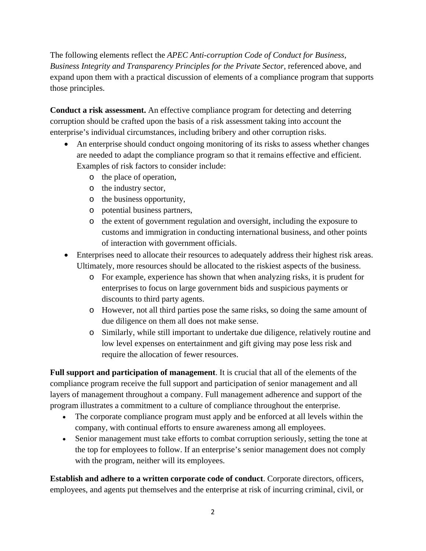The following elements reflect the *APEC Anti-corruption Code of Conduct for Business, Business Integrity and Transparency Principles for the Private Sector*, referenced above, and expand upon them with a practical discussion of elements of a compliance program that supports those principles.

**Conduct a risk assessment.** An effective compliance program for detecting and deterring corruption should be crafted upon the basis of a risk assessment taking into account the enterprise's individual circumstances, including bribery and other corruption risks.

- An enterprise should conduct ongoing monitoring of its risks to assess whether changes are needed to adapt the compliance program so that it remains effective and efficient. Examples of risk factors to consider include:
	- o the place of operation,
	- o the industry sector,
	- o the business opportunity,
	- o potential business partners,
	- o the extent of government regulation and oversight, including the exposure to customs and immigration in conducting international business, and other points of interaction with government officials.
- Enterprises need to allocate their resources to adequately address their highest risk areas. Ultimately, more resources should be allocated to the riskiest aspects of the business.
	- o For example, experience has shown that when analyzing risks, it is prudent for enterprises to focus on large government bids and suspicious payments or discounts to third party agents.
	- o However, not all third parties pose the same risks, so doing the same amount of due diligence on them all does not make sense.
	- o Similarly, while still important to undertake due diligence, relatively routine and low level expenses on entertainment and gift giving may pose less risk and require the allocation of fewer resources.

**Full support and participation of management**. It is crucial that all of the elements of the compliance program receive the full support and participation of senior management and all layers of management throughout a company. Full management adherence and support of the program illustrates a commitment to a culture of compliance throughout the enterprise.

- The corporate compliance program must apply and be enforced at all levels within the company, with continual efforts to ensure awareness among all employees.
- Senior management must take efforts to combat corruption seriously, setting the tone at the top for employees to follow. If an enterprise's senior management does not comply with the program, neither will its employees.

**Establish and adhere to a written corporate code of conduct**. Corporate directors, officers, employees, and agents put themselves and the enterprise at risk of incurring criminal, civil, or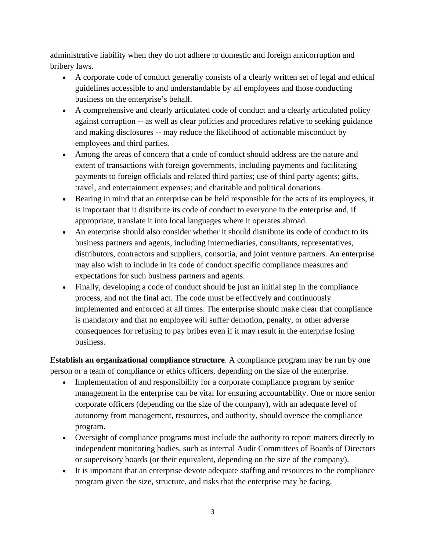administrative liability when they do not adhere to domestic and foreign anticorruption and bribery laws.

- A corporate code of conduct generally consists of a clearly written set of legal and ethical guidelines accessible to and understandable by all employees and those conducting business on the enterprise's behalf.
- A comprehensive and clearly articulated code of conduct and a clearly articulated policy against corruption -- as well as clear policies and procedures relative to seeking guidance and making disclosures -- may reduce the likelihood of actionable misconduct by employees and third parties.
- Among the areas of concern that a code of conduct should address are the nature and extent of transactions with foreign governments, including payments and facilitating payments to foreign officials and related third parties; use of third party agents; gifts, travel, and entertainment expenses; and charitable and political donations.
- Bearing in mind that an enterprise can be held responsible for the acts of its employees, it is important that it distribute its code of conduct to everyone in the enterprise and, if appropriate, translate it into local languages where it operates abroad.
- An enterprise should also consider whether it should distribute its code of conduct to its business partners and agents, including intermediaries, consultants, representatives, distributors, contractors and suppliers, consortia, and joint venture partners. An enterprise may also wish to include in its code of conduct specific compliance measures and expectations for such business partners and agents.
- Finally, developing a code of conduct should be just an initial step in the compliance process, and not the final act. The code must be effectively and continuously implemented and enforced at all times. The enterprise should make clear that compliance is mandatory and that no employee will suffer demotion, penalty, or other adverse consequences for refusing to pay bribes even if it may result in the enterprise losing business.

**Establish an organizational compliance structure**. A compliance program may be run by one person or a team of compliance or ethics officers, depending on the size of the enterprise.

- Implementation of and responsibility for a corporate compliance program by senior management in the enterprise can be vital for ensuring accountability. One or more senior corporate officers (depending on the size of the company), with an adequate level of autonomy from management, resources, and authority, should oversee the compliance program.
- Oversight of compliance programs must include the authority to report matters directly to independent monitoring bodies, such as internal Audit Committees of Boards of Directors or supervisory boards (or their equivalent, depending on the size of the company).
- It is important that an enterprise devote adequate staffing and resources to the compliance program given the size, structure, and risks that the enterprise may be facing.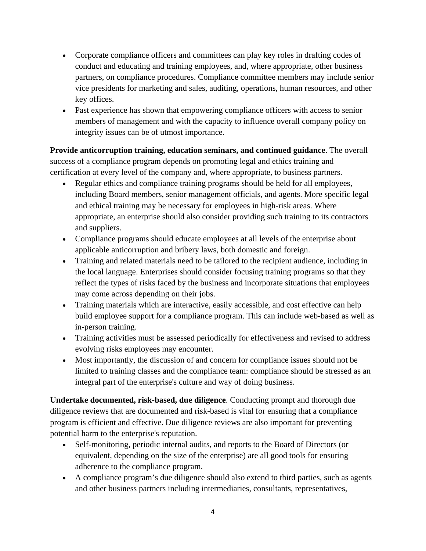- Corporate compliance officers and committees can play key roles in drafting codes of conduct and educating and training employees, and, where appropriate, other business partners, on compliance procedures. Compliance committee members may include senior vice presidents for marketing and sales, auditing, operations, human resources, and other key offices.
- Past experience has shown that empowering compliance officers with access to senior members of management and with the capacity to influence overall company policy on integrity issues can be of utmost importance.

**Provide anticorruption training, education seminars, and continued guidance**. The overall success of a compliance program depends on promoting legal and ethics training and certification at every level of the company and, where appropriate, to business partners.

- Regular ethics and compliance training programs should be held for all employees, including Board members, senior management officials, and agents. More specific legal and ethical training may be necessary for employees in high-risk areas. Where appropriate, an enterprise should also consider providing such training to its contractors and suppliers.
- Compliance programs should educate employees at all levels of the enterprise about applicable anticorruption and bribery laws, both domestic and foreign.
- Training and related materials need to be tailored to the recipient audience, including in the local language. Enterprises should consider focusing training programs so that they reflect the types of risks faced by the business and incorporate situations that employees may come across depending on their jobs.
- Training materials which are interactive, easily accessible, and cost effective can help build employee support for a compliance program. This can include web-based as well as in-person training.
- Training activities must be assessed periodically for effectiveness and revised to address evolving risks employees may encounter.
- Most importantly, the discussion of and concern for compliance issues should not be limited to training classes and the compliance team: compliance should be stressed as an integral part of the enterprise's culture and way of doing business.

**Undertake documented, risk-based, due diligence**. Conducting prompt and thorough due diligence reviews that are documented and risk-based is vital for ensuring that a compliance program is efficient and effective. Due diligence reviews are also important for preventing potential harm to the enterprise's reputation.

- Self-monitoring, periodic internal audits, and reports to the Board of Directors (or equivalent, depending on the size of the enterprise) are all good tools for ensuring adherence to the compliance program.
- A compliance program's due diligence should also extend to third parties, such as agents and other business partners including intermediaries, consultants, representatives,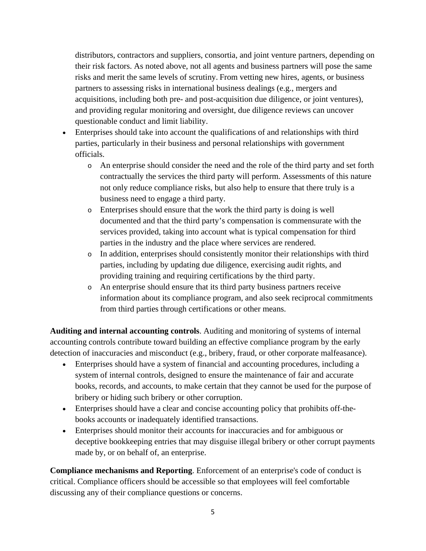distributors, contractors and suppliers, consortia, and joint venture partners, depending on their risk factors. As noted above, not all agents and business partners will pose the same risks and merit the same levels of scrutiny. From vetting new hires, agents, or business partners to assessing risks in international business dealings (e.g., mergers and acquisitions, including both pre- and post-acquisition due diligence, or joint ventures), and providing regular monitoring and oversight, due diligence reviews can uncover questionable conduct and limit liability.

- Enterprises should take into account the qualifications of and relationships with third parties, particularly in their business and personal relationships with government officials.
	- o An enterprise should consider the need and the role of the third party and set forth contractually the services the third party will perform. Assessments of this nature not only reduce compliance risks, but also help to ensure that there truly is a business need to engage a third party.
	- o Enterprises should ensure that the work the third party is doing is well documented and that the third party's compensation is commensurate with the services provided, taking into account what is typical compensation for third parties in the industry and the place where services are rendered.
	- o In addition, enterprises should consistently monitor their relationships with third parties, including by updating due diligence, exercising audit rights, and providing training and requiring certifications by the third party.
	- o An enterprise should ensure that its third party business partners receive information about its compliance program, and also seek reciprocal commitments from third parties through certifications or other means.

**Auditing and internal accounting controls**. Auditing and monitoring of systems of internal accounting controls contribute toward building an effective compliance program by the early detection of inaccuracies and misconduct (e.g., bribery, fraud, or other corporate malfeasance).

- Enterprises should have a system of financial and accounting procedures, including a system of internal controls, designed to ensure the maintenance of fair and accurate books, records, and accounts, to make certain that they cannot be used for the purpose of bribery or hiding such bribery or other corruption.
- Enterprises should have a clear and concise accounting policy that prohibits off-thebooks accounts or inadequately identified transactions.
- Enterprises should monitor their accounts for inaccuracies and for ambiguous or deceptive bookkeeping entries that may disguise illegal bribery or other corrupt payments made by, or on behalf of, an enterprise.

**Compliance mechanisms and Reporting**. Enforcement of an enterprise's code of conduct is critical. Compliance officers should be accessible so that employees will feel comfortable discussing any of their compliance questions or concerns.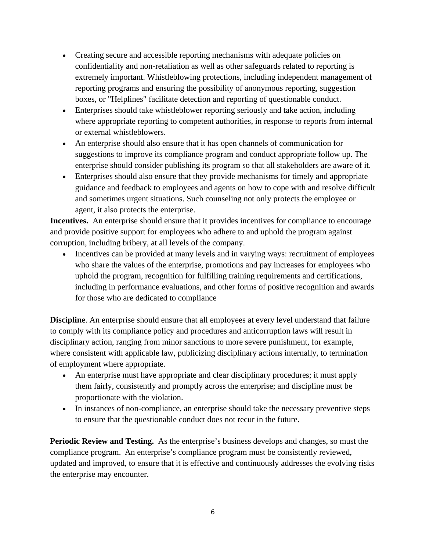- Creating secure and accessible reporting mechanisms with adequate policies on confidentiality and non-retaliation as well as other safeguards related to reporting is extremely important. Whistleblowing protections, including independent management of reporting programs and ensuring the possibility of anonymous reporting, suggestion boxes, or "Helplines" facilitate detection and reporting of questionable conduct.
- Enterprises should take whistleblower reporting seriously and take action, including where appropriate reporting to competent authorities, in response to reports from internal or external whistleblowers.
- An enterprise should also ensure that it has open channels of communication for suggestions to improve its compliance program and conduct appropriate follow up. The enterprise should consider publishing its program so that all stakeholders are aware of it.
- Enterprises should also ensure that they provide mechanisms for timely and appropriate guidance and feedback to employees and agents on how to cope with and resolve difficult and sometimes urgent situations. Such counseling not only protects the employee or agent, it also protects the enterprise.

**Incentives.** An enterprise should ensure that it provides incentives for compliance to encourage and provide positive support for employees who adhere to and uphold the program against corruption, including bribery, at all levels of the company.

• Incentives can be provided at many levels and in varying ways: recruitment of employees who share the values of the enterprise, promotions and pay increases for employees who uphold the program, recognition for fulfilling training requirements and certifications, including in performance evaluations, and other forms of positive recognition and awards for those who are dedicated to compliance

**Discipline**. An enterprise should ensure that all employees at every level understand that failure to comply with its compliance policy and procedures and anticorruption laws will result in disciplinary action, ranging from minor sanctions to more severe punishment, for example, where consistent with applicable law, publicizing disciplinary actions internally, to termination of employment where appropriate.

- An enterprise must have appropriate and clear disciplinary procedures; it must apply them fairly, consistently and promptly across the enterprise; and discipline must be proportionate with the violation.
- In instances of non-compliance, an enterprise should take the necessary preventive steps to ensure that the questionable conduct does not recur in the future.

**Periodic Review and Testing.** As the enterprise's business develops and changes, so must the compliance program. An enterprise's compliance program must be consistently reviewed, updated and improved, to ensure that it is effective and continuously addresses the evolving risks the enterprise may encounter.